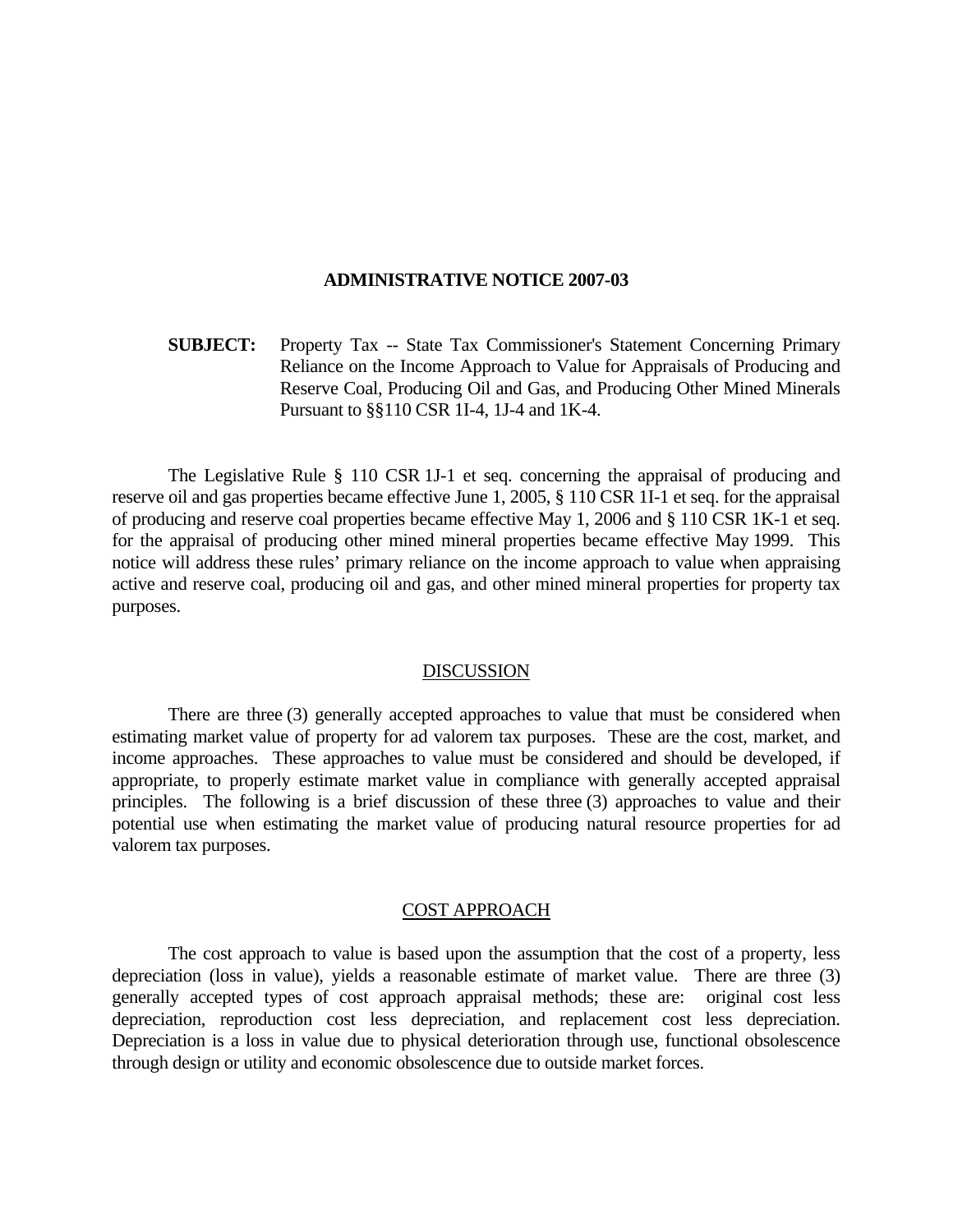#### **ADMINISTRATIVE NOTICE 2007-03**

**SUBJECT:** Property Tax -- State Tax Commissioner's Statement Concerning Primary Reliance on the Income Approach to Value for Appraisals of Producing and Reserve Coal, Producing Oil and Gas, and Producing Other Mined Minerals Pursuant to §§110 CSR 1I-4, 1J-4 and 1K-4.

 The Legislative Rule § 110 CSR 1J-1 et seq. concerning the appraisal of producing and reserve oil and gas properties became effective June 1, 2005, § 110 CSR 1I-1 et seq. for the appraisal of producing and reserve coal properties became effective May 1, 2006 and § 110 CSR 1K-1 et seq. for the appraisal of producing other mined mineral properties became effective May 1999. This notice will address these rules' primary reliance on the income approach to value when appraising active and reserve coal, producing oil and gas, and other mined mineral properties for property tax purposes.

#### DISCUSSION

 There are three (3) generally accepted approaches to value that must be considered when estimating market value of property for ad valorem tax purposes. These are the cost, market, and income approaches. These approaches to value must be considered and should be developed, if appropriate, to properly estimate market value in compliance with generally accepted appraisal principles. The following is a brief discussion of these three (3) approaches to value and their potential use when estimating the market value of producing natural resource properties for ad valorem tax purposes.

### COST APPROACH

 The cost approach to value is based upon the assumption that the cost of a property, less depreciation (loss in value), yields a reasonable estimate of market value. There are three (3) generally accepted types of cost approach appraisal methods; these are: original cost less depreciation, reproduction cost less depreciation, and replacement cost less depreciation. Depreciation is a loss in value due to physical deterioration through use, functional obsolescence through design or utility and economic obsolescence due to outside market forces.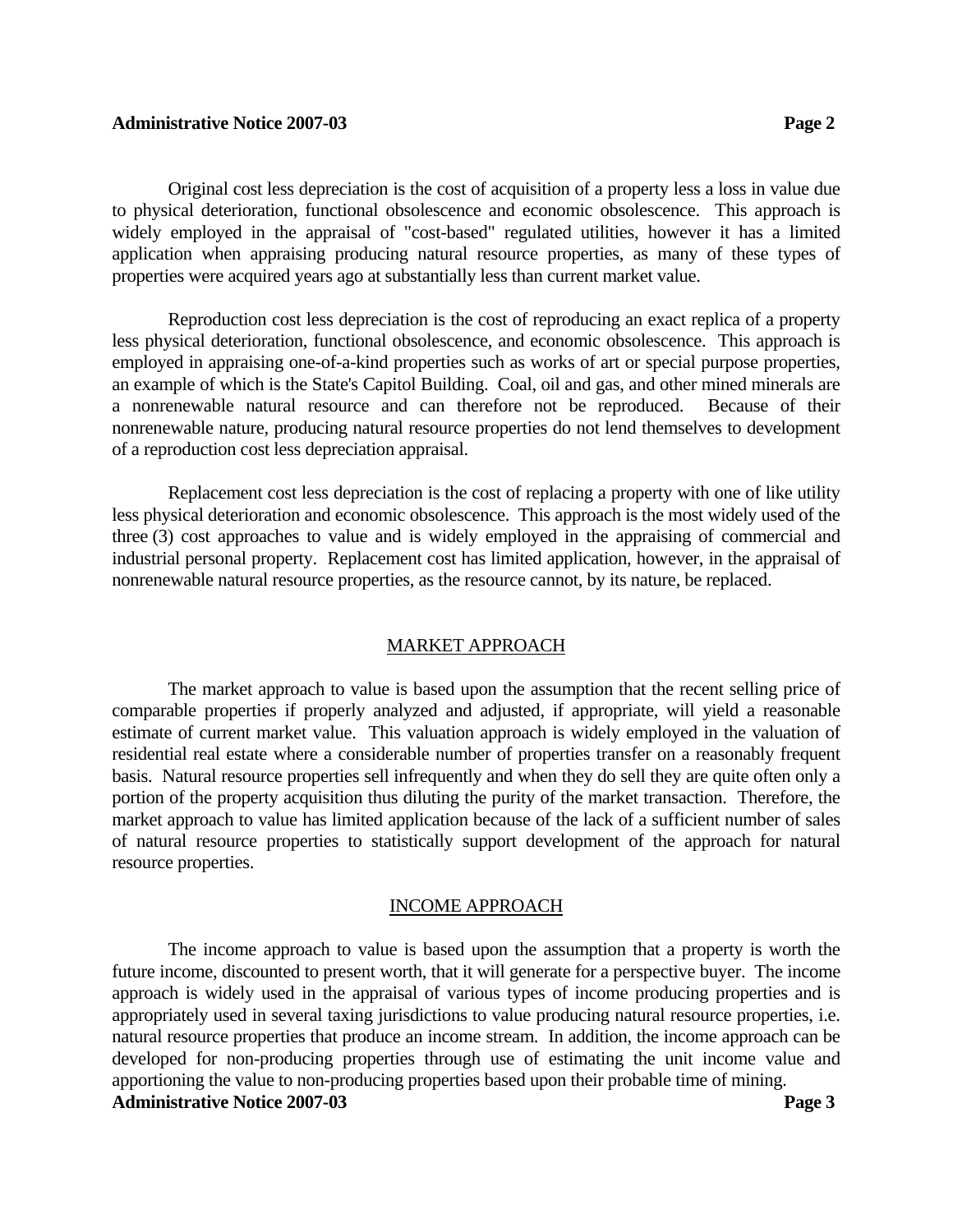## **Administrative Notice 2007-03** Page 2

Original cost less depreciation is the cost of acquisition of a property less a loss in value due to physical deterioration, functional obsolescence and economic obsolescence. This approach is widely employed in the appraisal of "cost-based" regulated utilities, however it has a limited application when appraising producing natural resource properties, as many of these types of properties were acquired years ago at substantially less than current market value.

 Reproduction cost less depreciation is the cost of reproducing an exact replica of a property less physical deterioration, functional obsolescence, and economic obsolescence. This approach is employed in appraising one-of-a-kind properties such as works of art or special purpose properties, an example of which is the State's Capitol Building. Coal, oil and gas, and other mined minerals are a nonrenewable natural resource and can therefore not be reproduced. Because of their nonrenewable nature, producing natural resource properties do not lend themselves to development of a reproduction cost less depreciation appraisal.

 Replacement cost less depreciation is the cost of replacing a property with one of like utility less physical deterioration and economic obsolescence. This approach is the most widely used of the three (3) cost approaches to value and is widely employed in the appraising of commercial and industrial personal property. Replacement cost has limited application, however, in the appraisal of nonrenewable natural resource properties, as the resource cannot, by its nature, be replaced.

## MARKET APPROACH

 The market approach to value is based upon the assumption that the recent selling price of comparable properties if properly analyzed and adjusted, if appropriate, will yield a reasonable estimate of current market value. This valuation approach is widely employed in the valuation of residential real estate where a considerable number of properties transfer on a reasonably frequent basis. Natural resource properties sell infrequently and when they do sell they are quite often only a portion of the property acquisition thus diluting the purity of the market transaction. Therefore, the market approach to value has limited application because of the lack of a sufficient number of sales of natural resource properties to statistically support development of the approach for natural resource properties.

# INCOME APPROACH

 The income approach to value is based upon the assumption that a property is worth the future income, discounted to present worth, that it will generate for a perspective buyer. The income approach is widely used in the appraisal of various types of income producing properties and is appropriately used in several taxing jurisdictions to value producing natural resource properties, i.e. natural resource properties that produce an income stream. In addition, the income approach can be developed for non-producing properties through use of estimating the unit income value and apportioning the value to non-producing properties based upon their probable time of mining. **Administrative Notice 2007-03 Page 3**